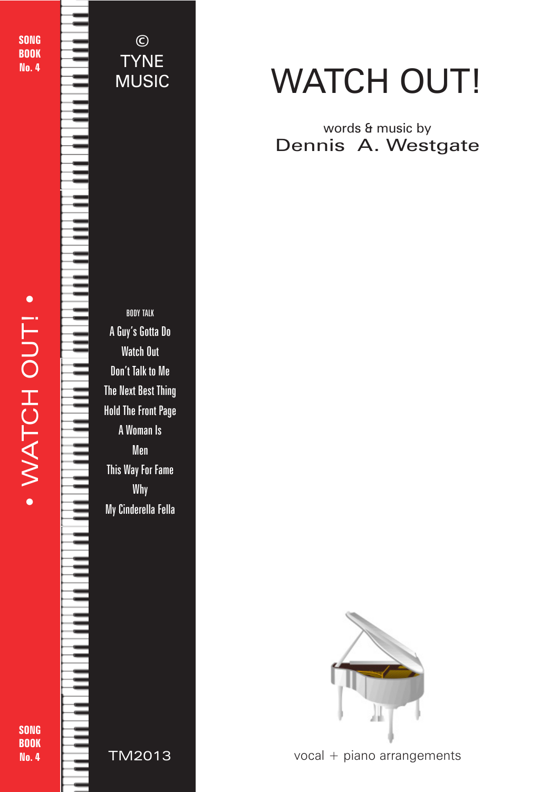SONG BOOK No. 4

## © TYNE MUSIC

BODY TALK A Guy's Gotta Do Watch Out Don't Talk to Me The Next Best Thing Hold The Front Page A Woman Is Men This Way For Fame Why My Cinderella Fella



words & music by Dennis A. Westgate

WATCH OUT!

 $vocal + piano arrangements$ 

© 2018 - Watch Out! - TYNE MUSIC - tynemusiclimited@gmail.com

SONG **BOOK** No. 4

TIVIZE TM2013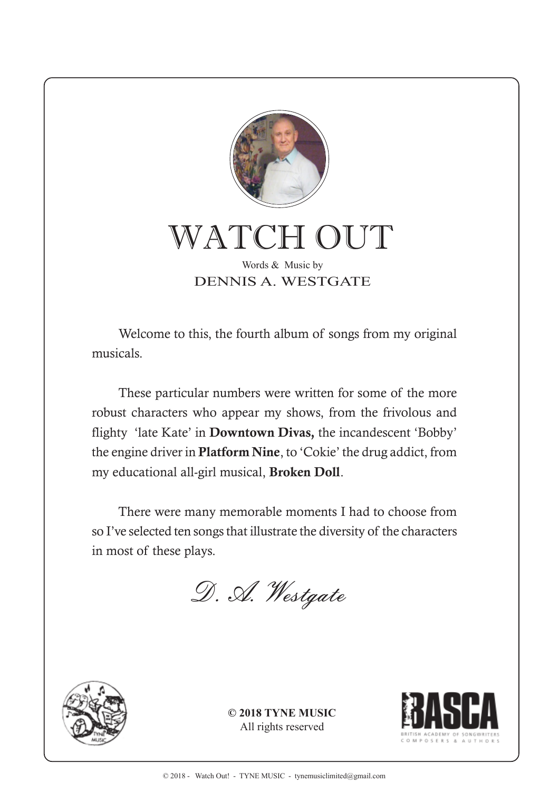

WATCH OUT Words & Music by

DENNIS A. WESTGATE

Welcome to this, the fourth album of songs from my original musicals.

These particular numbers were written for some of the more robust characters who appear my shows, from the frivolous and flighty 'late Kate' in **Downtown Divas,** the incandescent 'Bobby' the engine driver in **Platform Nine**, to 'Cokie' the drug addict, from my educational all-girl musical, **Broken Doll**.

There were many memorable moments I had to choose from so I've selected ten songs that illustrate the diversity of the characters in most of these plays.

D. A. Westgate



**© 2018 TYNE MUSIC** All rights reserved

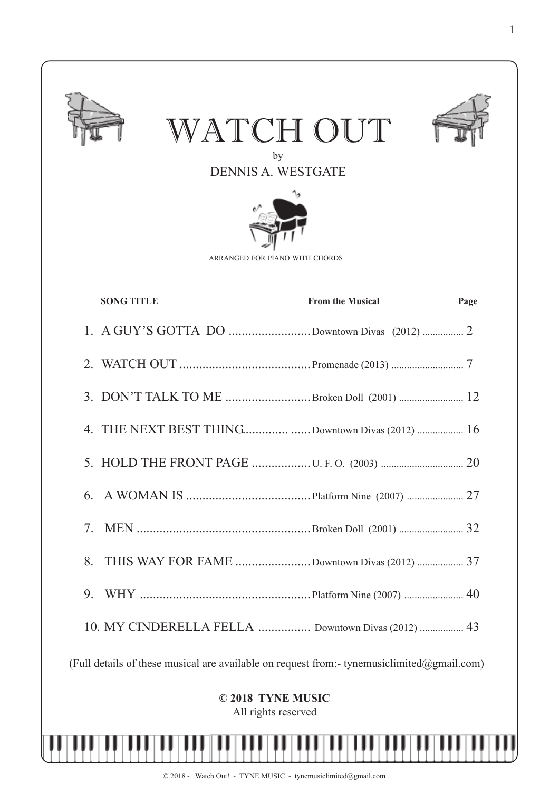

WATCH OUT



by DENNIS A. WESTGATE



ARRANGED FOR PIANO WITH CHORDS

|                                                                                            | <b>SONG TITLE</b>                                  | <b>From the Musical</b> | Page |
|--------------------------------------------------------------------------------------------|----------------------------------------------------|-------------------------|------|
|                                                                                            | 1. A GUY'S GOTTA DO Downtown Divas (2012)  2       |                         |      |
|                                                                                            |                                                    |                         |      |
|                                                                                            | 3. DON'T TALK TO ME Broken Doll (2001)  12         |                         |      |
|                                                                                            | 4. THE NEXT BEST THINGDowntown Divas (2012)  16    |                         |      |
|                                                                                            |                                                    |                         |      |
| 6.                                                                                         |                                                    |                         |      |
| 7.                                                                                         |                                                    |                         |      |
| 8.                                                                                         | THIS WAY FOR FAME Downtown Divas (2012)  37        |                         |      |
| 9.                                                                                         |                                                    |                         |      |
|                                                                                            | 10. MY CINDERELLA FELLA  Downtown Divas (2012)  43 |                         |      |
| (Full details of these musical are available on request from:- tynemusiclimited@gmail.com) |                                                    |                         |      |
| © 2018 TYNE MUSIC<br>All rights reserved                                                   |                                                    |                         |      |
|                                                                                            |                                                    |                         |      |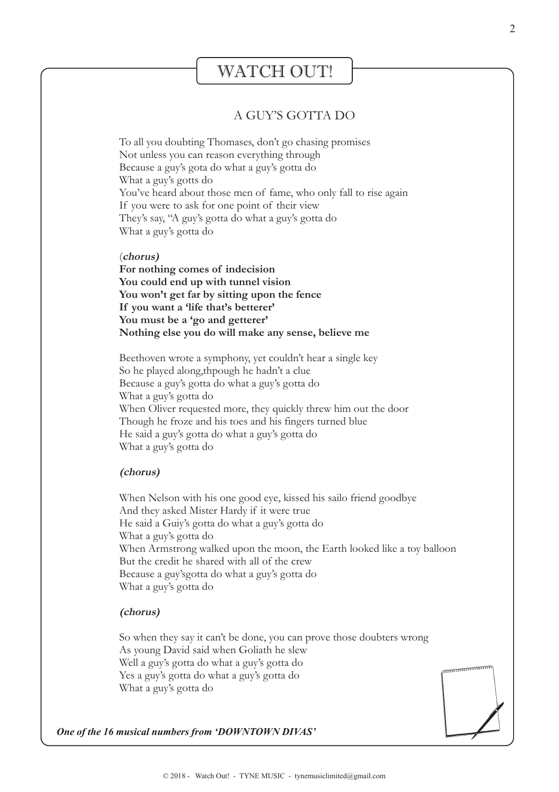## WATCH OUT!

### A GUY'S GOTTA DO

To all you doubting Thomases, don't go chasing promises Not unless you can reason everything through Because a guy's gota do what a guy's gotta do What a guy's gotts do You've heard about those men of fame, who only fall to rise again If you were to ask for one point of their view They's say, "A guy's gotta do what a guy's gotta do What a guy's gotta do

#### (**chorus)**

**For nothing comes of indecision You could end up with tunnel vision You won't get far by sitting upon the fence If you want a 'life that's betterer' You must be a 'go and getterer' Nothing else you do will make any sense, believe me**

Beethoven wrote a symphony, yet couldn't hear a single key So he played along,thpough he hadn't a clue Because a guy's gotta do what a guy's gotta do What a guy's gotta do When Oliver requested more, they quickly threw him out the door Though he froze and his toes and his fingers turned blue He said a guy's gotta do what a guy's gotta do What a guy's gotta do

#### **(chorus)**

When Nelson with his one good eye, kissed his sailo friend goodbye And they asked Mister Hardy if it were true He said a Guiy's gotta do what a guy's gotta do What a guy's gotta do When Armstrong walked upon the moon, the Earth looked like a toy balloon But the credit he shared with all of the crew Because a guy'sgotta do what a guy's gotta do What a guy's gotta do

#### **(chorus)**

So when they say it can't be done, you can prove those doubters wrong As young David said when Goliath he slew Well a guy's gotta do what a guy's gotta do Yes a guy's gotta do what a guy's gotta do What a guy's gotta do



*One of the 16 musical numbers from 'DOWNTOWN DIVAS'*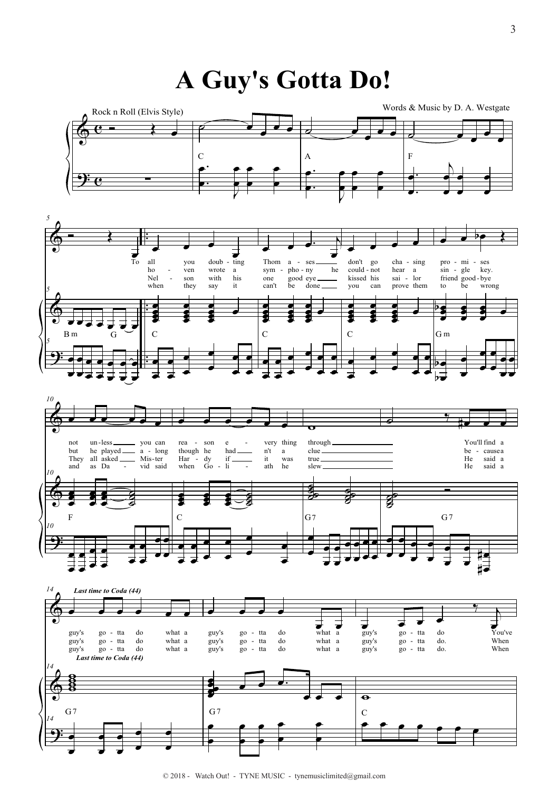# A Guy's Gotta Do!